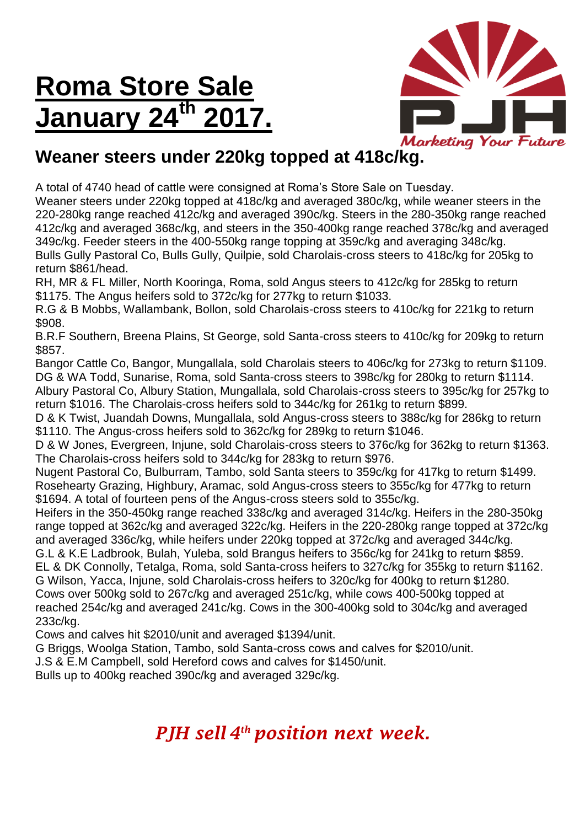## **Roma Store Sale January 24th 2017.**



## **Weaner steers under 220kg topped at 418c/kg.**

A total of 4740 head of cattle were consigned at Roma's Store Sale on Tuesday.

Weaner steers under 220kg topped at 418c/kg and averaged 380c/kg, while weaner steers in the 220-280kg range reached 412c/kg and averaged 390c/kg. Steers in the 280-350kg range reached 412c/kg and averaged 368c/kg, and steers in the 350-400kg range reached 378c/kg and averaged 349c/kg. Feeder steers in the 400-550kg range topping at 359c/kg and averaging 348c/kg. Bulls Gully Pastoral Co, Bulls Gully, Quilpie, sold Charolais-cross steers to 418c/kg for 205kg to return \$861/head.

RH, MR & FL Miller, North Kooringa, Roma, sold Angus steers to 412c/kg for 285kg to return \$1175. The Angus heifers sold to 372c/kg for 277kg to return \$1033.

R.G & B Mobbs, Wallambank, Bollon, sold Charolais-cross steers to 410c/kg for 221kg to return \$908.

B.R.F Southern, Breena Plains, St George, sold Santa-cross steers to 410c/kg for 209kg to return \$857.

Bangor Cattle Co, Bangor, Mungallala, sold Charolais steers to 406c/kg for 273kg to return \$1109. DG & WA Todd, Sunarise, Roma, sold Santa-cross steers to 398c/kg for 280kg to return \$1114. Albury Pastoral Co, Albury Station, Mungallala, sold Charolais-cross steers to 395c/kg for 257kg to

return \$1016. The Charolais-cross heifers sold to 344c/kg for 261kg to return \$899.

D & K Twist, Juandah Downs, Mungallala, sold Angus-cross steers to 388c/kg for 286kg to return \$1110. The Angus-cross heifers sold to 362c/kg for 289kg to return \$1046.

D & W Jones, Evergreen, Injune, sold Charolais-cross steers to 376c/kg for 362kg to return \$1363. The Charolais-cross heifers sold to 344c/kg for 283kg to return \$976.

Nugent Pastoral Co, Bulburram, Tambo, sold Santa steers to 359c/kg for 417kg to return \$1499. Rosehearty Grazing, Highbury, Aramac, sold Angus-cross steers to 355c/kg for 477kg to return \$1694. A total of fourteen pens of the Angus-cross steers sold to 355c/kg.

Heifers in the 350-450kg range reached 338c/kg and averaged 314c/kg. Heifers in the 280-350kg range topped at 362c/kg and averaged 322c/kg. Heifers in the 220-280kg range topped at 372c/kg and averaged 336c/kg, while heifers under 220kg topped at 372c/kg and averaged 344c/kg. G.L & K.E Ladbrook, Bulah, Yuleba, sold Brangus heifers to 356c/kg for 241kg to return \$859. EL & DK Connolly, Tetalga, Roma, sold Santa-cross heifers to 327c/kg for 355kg to return \$1162. G Wilson, Yacca, Injune, sold Charolais-cross heifers to 320c/kg for 400kg to return \$1280.

Cows over 500kg sold to 267c/kg and averaged 251c/kg, while cows 400-500kg topped at reached 254c/kg and averaged 241c/kg. Cows in the 300-400kg sold to 304c/kg and averaged 233c/kg.

Cows and calves hit \$2010/unit and averaged \$1394/unit.

G Briggs, Woolga Station, Tambo, sold Santa-cross cows and calves for \$2010/unit.

J.S & E.M Campbell, sold Hereford cows and calves for \$1450/unit.

Bulls up to 400kg reached 390c/kg and averaged 329c/kg.

## *PJH sell 4 th position next week.*